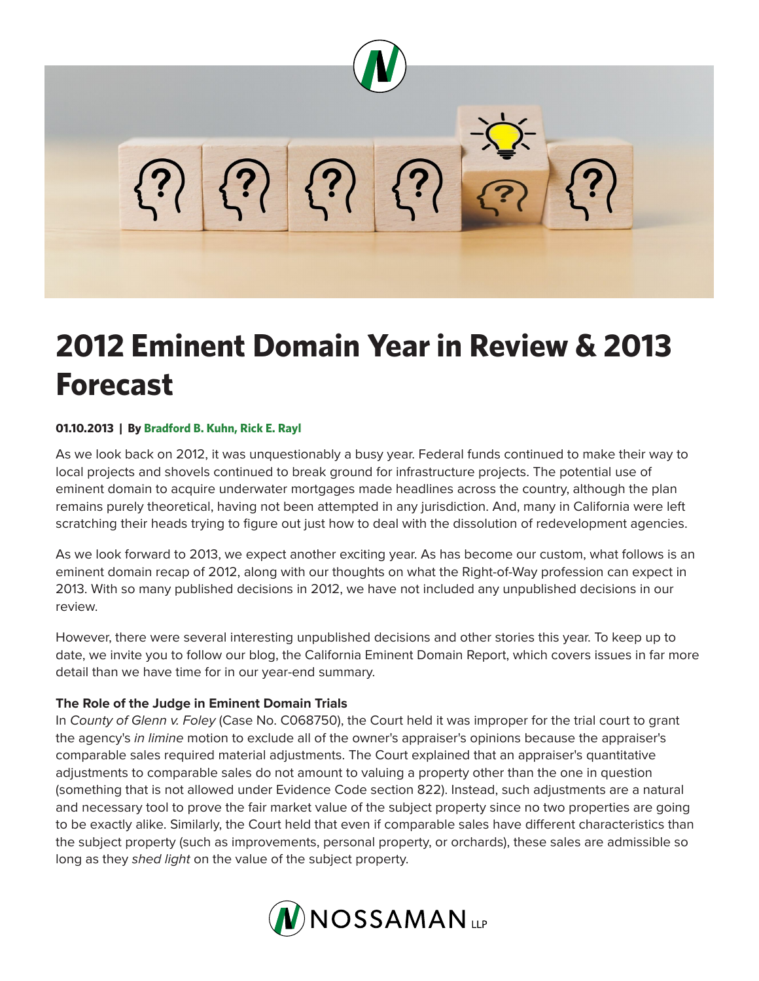

# **2012 Eminent Domain Year in Review & 2013 Forecast**

#### **01.10.2013 | By Bradford B. Kuhn, Rick E. Rayl**

As we look back on 2012, it was unquestionably a busy year. Federal funds continued to make their way to local projects and shovels continued to break ground for infrastructure projects. The potential use of eminent domain to acquire underwater mortgages made headlines across the country, although the plan remains purely theoretical, having not been attempted in any jurisdiction. And, many in California were left scratching their heads trying to figure out just how to deal with the dissolution of redevelopment agencies.

As we look forward to 2013, we expect another exciting year. As has become our custom, what follows is an eminent domain recap of 2012, along with our thoughts on what the Right-of-Way profession can expect in 2013. With so many published decisions in 2012, we have not included any unpublished decisions in our review.

However, there were several interesting unpublished decisions and other stories this year. To keep up to date, we invite you to follow our blog, the California Eminent Domain Report, which covers issues in far more detail than we have time for in our year-end summary.

#### **The Role of the Judge in Eminent Domain Trials**

In *County of Glenn v. Foley* (Case No. C068750), the Court held it was improper for the trial court to grant the agency's *in limine* motion to exclude all of the owner's appraiser's opinions because the appraiser's comparable sales required material adjustments. The Court explained that an appraiser's quantitative adjustments to comparable sales do not amount to valuing a property other than the one in question (something that is not allowed under Evidence Code section 822). Instead, such adjustments are a natural and necessary tool to prove the fair market value of the subject property since no two properties are going to be exactly alike. Similarly, the Court held that even if comparable sales have different characteristics than the subject property (such as improvements, personal property, or orchards), these sales are admissible so long as they *shed light* on the value of the subject property.

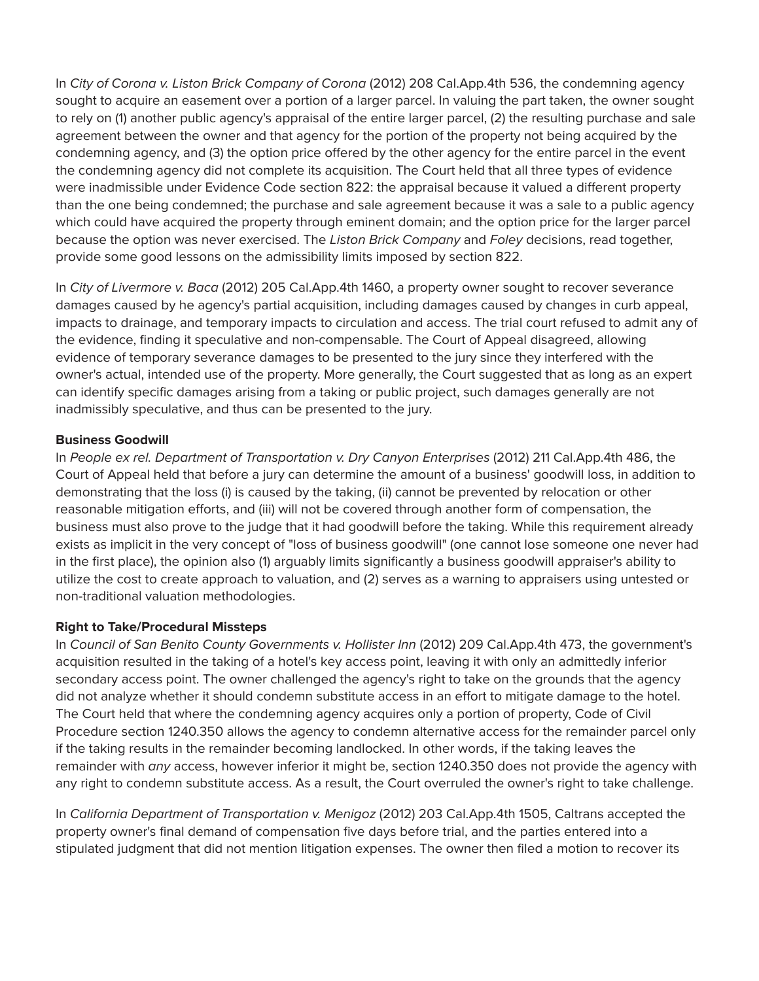In *City of Corona v. Liston Brick Company of Corona* (2012) 208 Cal.App.4th 536, the condemning agency sought to acquire an easement over a portion of a larger parcel. In valuing the part taken, the owner sought to rely on (1) another public agency's appraisal of the entire larger parcel, (2) the resulting purchase and sale agreement between the owner and that agency for the portion of the property not being acquired by the condemning agency, and (3) the option price offered by the other agency for the entire parcel in the event the condemning agency did not complete its acquisition. The Court held that all three types of evidence were inadmissible under Evidence Code section 822: the appraisal because it valued a different property than the one being condemned; the purchase and sale agreement because it was a sale to a public agency which could have acquired the property through eminent domain; and the option price for the larger parcel because the option was never exercised. The *Liston Brick Company* and *Foley* decisions, read together, provide some good lessons on the admissibility limits imposed by section 822.

In *City of Livermore v. Baca* (2012) 205 Cal.App.4th 1460, a property owner sought to recover severance damages caused by he agency's partial acquisition, including damages caused by changes in curb appeal, impacts to drainage, and temporary impacts to circulation and access. The trial court refused to admit any of the evidence, finding it speculative and non-compensable. The Court of Appeal disagreed, allowing evidence of temporary severance damages to be presented to the jury since they interfered with the owner's actual, intended use of the property. More generally, the Court suggested that as long as an expert can identify specific damages arising from a taking or public project, such damages generally are not inadmissibly speculative, and thus can be presented to the jury.

### **Business Goodwill**

In *People ex rel. Department of Transportation v. Dry Canyon Enterprises* (2012) 211 Cal.App.4th 486, the Court of Appeal held that before a jury can determine the amount of a business' goodwill loss, in addition to demonstrating that the loss (i) is caused by the taking, (ii) cannot be prevented by relocation or other reasonable mitigation efforts, and (iii) will not be covered through another form of compensation, the business must also prove to the judge that it had goodwill before the taking. While this requirement already exists as implicit in the very concept of "loss of business goodwill" (one cannot lose someone one never had in the first place), the opinion also (1) arguably limits significantly a business goodwill appraiser's ability to utilize the cost to create approach to valuation, and (2) serves as a warning to appraisers using untested or non-traditional valuation methodologies.

### **Right to Take/Procedural Missteps**

In *Council of San Benito County Governments v. Hollister Inn (2012) 209 Cal.App.4th 473, the government's* acquisition resulted in the taking of a hotel's key access point, leaving it with only an admittedly inferior secondary access point. The owner challenged the agency's right to take on the grounds that the agency did not analyze whether it should condemn substitute access in an effort to mitigate damage to the hotel. The Court held that where the condemning agency acquires only a portion of property, Code of Civil Procedure section 1240.350 allows the agency to condemn alternative access for the remainder parcel only if the taking results in the remainder becoming landlocked. In other words, if the taking leaves the remainder with *any* access, however inferior it might be, section 1240.350 does not provide the agency with any right to condemn substitute access. As a result, the Court overruled the owner's right to take challenge.

In *California Department of Transportation v. Menigoz* (2012) 203 Cal.App.4th 1505, Caltrans accepted the property owner's final demand of compensation five days before trial, and the parties entered into a stipulated judgment that did not mention litigation expenses. The owner then filed a motion to recover its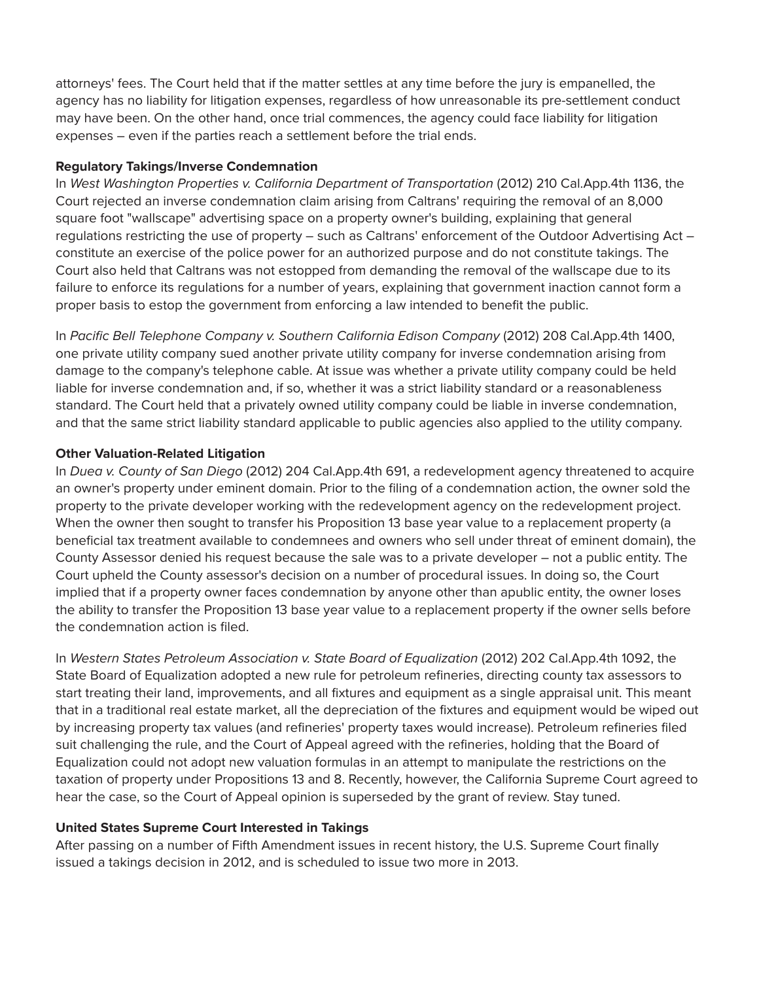attorneys' fees. The Court held that if the matter settles at any time before the jury is empanelled, the agency has no liability for litigation expenses, regardless of how unreasonable its pre-settlement conduct may have been. On the other hand, once trial commences, the agency could face liability for litigation expenses – even if the parties reach a settlement before the trial ends.

#### **Regulatory Takings/Inverse Condemnation**

In West Washington Properties v. California Department of Transportation (2012) 210 Cal.App.4th 1136, the Court rejected an inverse condemnation claim arising from Caltrans' requiring the removal of an 8,000 square foot "wallscape" advertising space on a property owner's building, explaining that general regulations restricting the use of property – such as Caltrans' enforcement of the Outdoor Advertising Act – constitute an exercise of the police power for an authorized purpose and do not constitute takings. The Court also held that Caltrans was not estopped from demanding the removal of the wallscape due to its failure to enforce its regulations for a number of years, explaining that government inaction cannot form a proper basis to estop the government from enforcing a law intended to benefit the public.

In *Pacific Bell Telephone Company v. Southern California Edison Company* (2012) 208 Cal.App.4th 1400, one private utility company sued another private utility company for inverse condemnation arising from damage to the company's telephone cable. At issue was whether a private utility company could be held liable for inverse condemnation and, if so, whether it was a strict liability standard or a reasonableness standard. The Court held that a privately owned utility company could be liable in inverse condemnation, and that the same strict liability standard applicable to public agencies also applied to the utility company.

### **Other Valuation-Related Litigation**

In *Duea v. County of San Diego* (2012) 204 Cal.App.4th 691, a redevelopment agency threatened to acquire an owner's property under eminent domain. Prior to the filing of a condemnation action, the owner sold the property to the private developer working with the redevelopment agency on the redevelopment project. When the owner then sought to transfer his Proposition 13 base year value to a replacement property (a beneficial tax treatment available to condemnees and owners who sell under threat of eminent domain), the County Assessor denied his request because the sale was to a private developer – not a public entity. The Court upheld the County assessor's decision on a number of procedural issues. In doing so, the Court implied that if a property owner faces condemnation by anyone other than apublic entity, the owner loses the ability to transfer the Proposition 13 base year value to a replacement property if the owner sells before the condemnation action is filed.

In Western States Petroleum Association v. State Board of Equalization (2012) 202 Cal.App.4th 1092, the State Board of Equalization adopted a new rule for petroleum refineries, directing county tax assessors to start treating their land, improvements, and all fixtures and equipment as a single appraisal unit. This meant that in a traditional real estate market, all the depreciation of the fixtures and equipment would be wiped out by increasing property tax values (and refineries' property taxes would increase). Petroleum refineries filed suit challenging the rule, and the Court of Appeal agreed with the refineries, holding that the Board of Equalization could not adopt new valuation formulas in an attempt to manipulate the restrictions on the taxation of property under Propositions 13 and 8. Recently, however, the California Supreme Court agreed to hear the case, so the Court of Appeal opinion is superseded by the grant of review. Stay tuned.

### **United States Supreme Court Interested in Takings**

After passing on a number of Fifth Amendment issues in recent history, the U.S. Supreme Court finally issued a takings decision in 2012, and is scheduled to issue two more in 2013.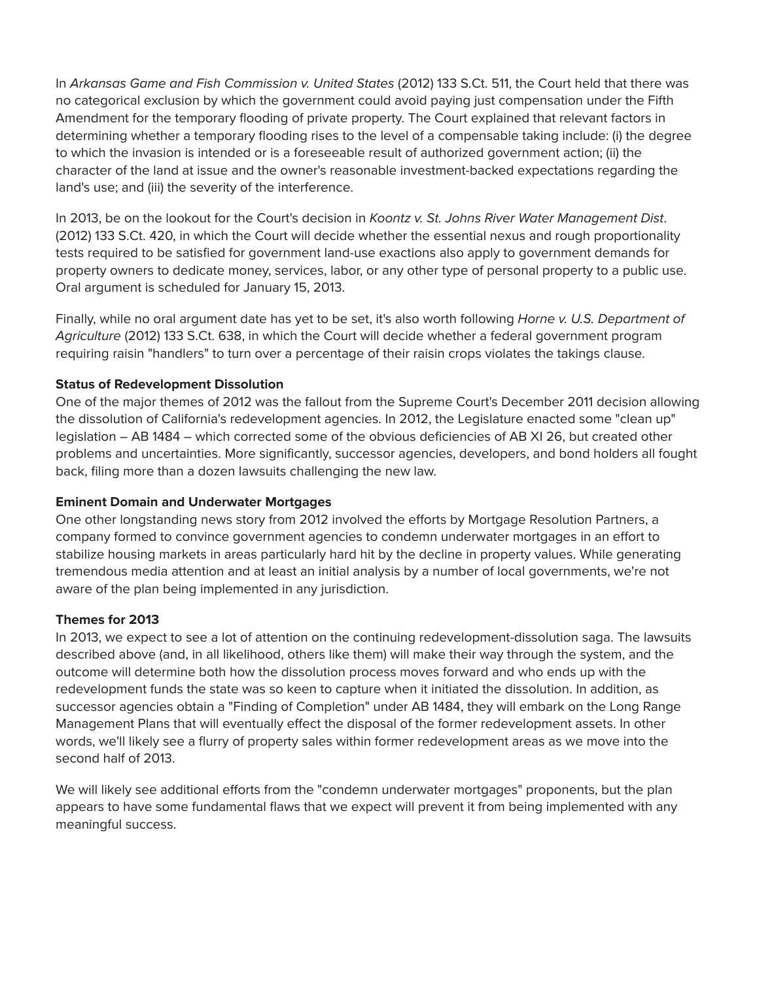In *Arkansas Game and Fish Commission v. United States* (2012) 133 S.Ct. 511, the Court held that there was no categorical exclusion by which the government could avoid paying just compensation under the Fifth Amendment for the temporary flooding of private property. The Court explained that relevant factors in determining whether a temporary flooding rises to the level of a compensable taking include: (i) the degree to which the invasion is intended or is a foreseeable result of authorized government action; (ii) the character of the land at issue and the owner's reasonable investment-backed expectations regarding the land's use; and (iii) the severity of the interference.

In 2013, be on the lookout for the Court's decision in *Koontz v. St. Johns River Water Management Dist*. (2012) 133 S.Ct. 420, in which the Court will decide whether the essential nexus and rough proportionality tests required to be satisfied for government land-use exactions also apply to government demands for property owners to dedicate money, services, labor, or any other type of personal property to a public use. Oral argument is scheduled for January 15, 2013.

Finally, while no oral argument date has yet to be set, it's also worth following *Horne v. U.S. Department of Agriculture* (2012) 133 S.Ct. 638, in which the Court will decide whether a federal government program requiring raisin "handlers" to turn over a percentage of their raisin crops violates the takings clause.

## **Status of Redevelopment Dissolution**

One of the major themes of 2012 was the fallout from the Supreme Court's December 2011 decision allowing the dissolution of California's redevelopment agencies. In 2012, the Legislature enacted some "clean up" legislation – AB 1484 – which corrected some of the obvious deficiencies of AB XI 26, but created other problems and uncertainties. More significantly, successor agencies, developers, and bond holders all fought back, filing more than a dozen lawsuits challenging the new law.

### **Eminent Domain and Underwater Mortgages**

One other longstanding news story from 2012 involved the efforts by Mortgage Resolution Partners, a company formed to convince government agencies to condemn underwater mortgages in an effort to stabilize housing markets in areas particularly hard hit by the decline in property values. While generating tremendous media attention and at least an initial analysis by a number of local governments, we're not aware of the plan being implemented in any jurisdiction.

### **Themes for 2013**

In 2013, we expect to see a lot of attention on the continuing redevelopment-dissolution saga. The lawsuits described above (and, in all likelihood, others like them) will make their way through the system, and the outcome will determine both how the dissolution process moves forward and who ends up with the redevelopment funds the state was so keen to capture when it initiated the dissolution. In addition, as successor agencies obtain a "Finding of Completion" under AB 1484, they will embark on the Long Range Management Plans that will eventually effect the disposal of the former redevelopment assets. In other words, we'll likely see a flurry of property sales within former redevelopment areas as we move into the second half of 2013.

We will likely see additional efforts from the "condemn underwater mortgages" proponents, but the plan appears to have some fundamental flaws that we expect will prevent it from being implemented with any meaningful success.